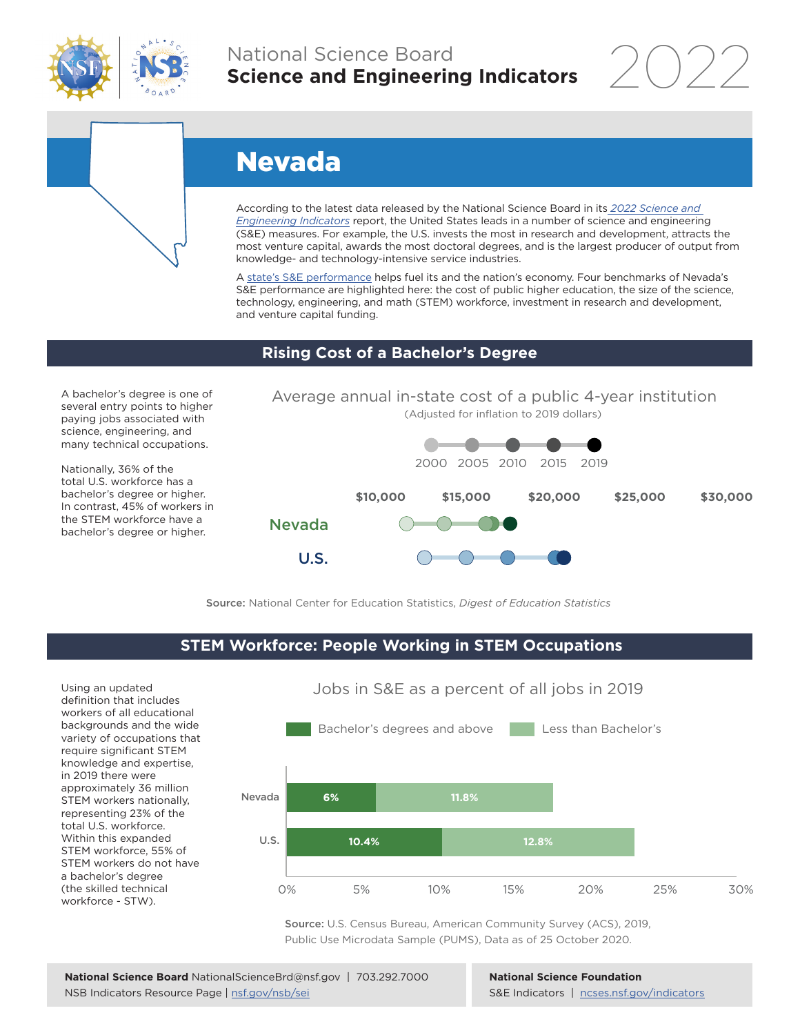

## National Science Board **Science and Engineering Indicators**

2022

# Nevada

According to the latest data released by the National Science Board in its *2022 Science and Engineering Indicators* report, the United States leads in a number of science and engineering (S&E) measures. For example, the U.S. invests the most in research and development, attracts the most venture capital, awards the most doctoral degrees, and is the largest producer of output from knowledge- and technology-intensive service industries.

A state's S&E performance helps fuel its and the nation's economy. Four benchmarks of Nevada's S&E performance are highlighted here: the cost of public higher education, the size of the science, technology, engineering, and math (STEM) workforce, investment in research and development, and venture capital funding.

#### **Rising Cost of a Bachelor's Degree**

A bachelor's degree is one of several entry points to higher paying jobs associated with science, engineering, and many technical occupations.

Nationally, 36% of the total U.S. workforce has a bachelor's degree or higher. In contrast, 45% of workers in the STEM workforce have a bachelor's degree or higher.





Source: National Center for Education Statistics, *Digest of Education Statistics*

### **STEM Workforce: People Working in STEM Occupations**

Using an updated definition that includes workers of all educational backgrounds and the wide variety of occupations that require significant STEM knowledge and expertise, in 2019 there were approximately 36 million STEM workers nationally, representing 23% of the total U.S. workforce. Within this expanded STEM workforce, 55% of STEM workers do not have a bachelor's degree (the skilled technical workforce - STW).



Jobs in S&E as a percent of all jobs in 2019

Source: U.S. Census Bureau, American Community Survey (ACS), 2019, Public Use Microdata Sample (PUMS), Data as of 25 October 2020.

**National Science Foundation** S&E Indicators | ncses.nsf.gov/indicators